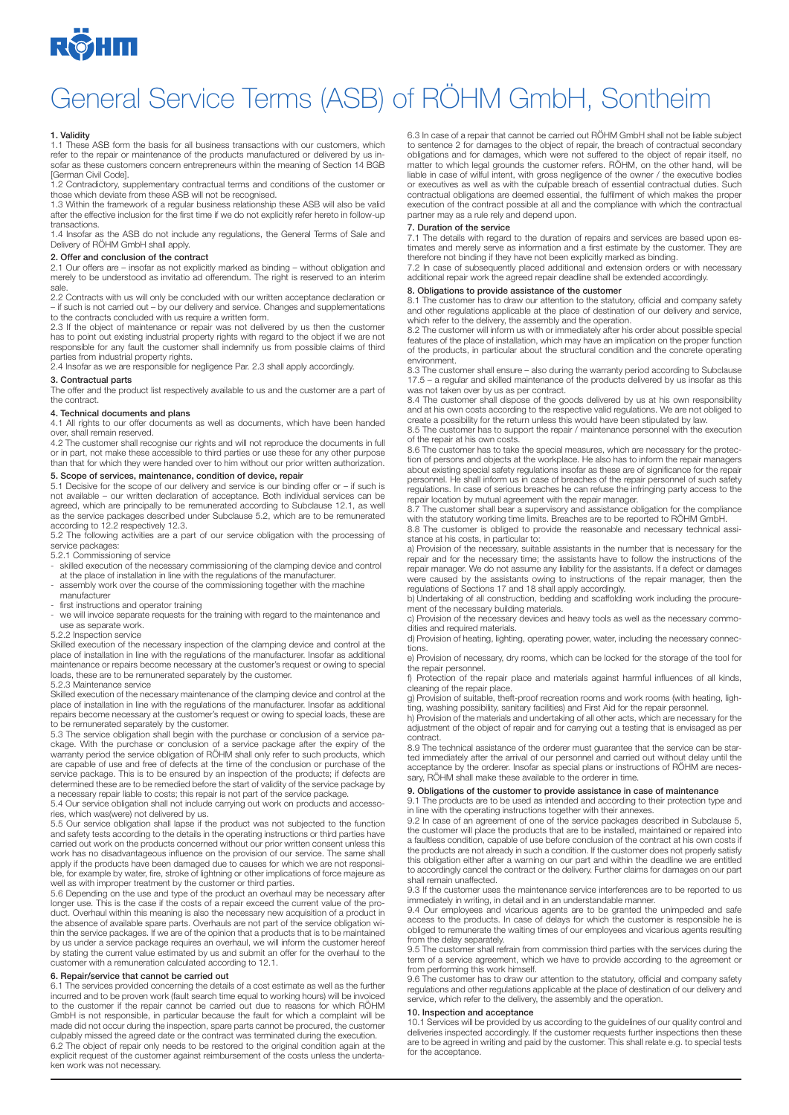

# General Service Terms (ASB) of RÖHM GmbH, Sontheim

**1. Validity**<br>1.1 These ASB form the basis for all business transactions with our customers, which<br>refer to the repair or maintenance of the products manufactured or delivered by us insofar as these customers concern entrepreneurs within the meaning of Section 14 BGB [German Civil Code].

1.2 Contradictory, supplementary contractual terms and conditions of the customer or those which deviate from these ASB will not be recognised.

1.3 Within the framework of a regular business relationship these ASB will also be valid after the effective inclusion for the first time if we do not explicitly refer hereto in follow-up transactions.

1.4 Insofar as the ASB do not include any regulations, the General Terms of Sale and Delivery of RÖHM GmbH shall apply.

#### 2. Offer and conclusion of the contract

2.1 Our offers are – insofar as not explicitly marked as binding – without obligation and merely to be understood as invitatio ad offerendum. The right is reserved to an interim sale.

2.2 Contracts with us will only be concluded with our written acceptance declaration or – if such is not carried out – by our delivery and service. Changes and supplementations to the contracts concluded with us require a written form.

2.3 If the object of maintenance or repair was not delivered by us then the customer has to point out existing industrial property rights with regard to the object if we are not responsible for any fault the customer shall indemnify us from possible claims of third parties from industrial property rights.

2.4 Insofar as we are responsible for negligence Par. 2.3 shall apply accordingly.

#### 3. Contractual parts

The offer and the product list respectively available to us and the customer are a part of the contract.

# 4. Technical documents and plans

4.1 All rights to our offer documents as well as documents, which have been handed over, shall remain reserved.

4.2 The customer shall recognise our rights and will not reproduce the documents in full or in part, not make these accessible to third parties or use these for any other purpose than that for which they were handed over to him without our prior written authorization.

### 5. Scope of services, maintenance, condition of device, repair

5.1 Decisive for the scope of our delivery and service is our binding offer or – if such is not available – our written declaration of acceptance. Both individual services can be agreed, which are principally to be remunerated according to Subclause 12.1, as well as the service packages described under Subclause 5.2, which are to be remunerated according to 12.2 respectively 12.3.

5.2 The following activities are a part of our service obligation with the processing of service packages

5.2.1 Commissioning of service

- skilled execution of the necessary commissioning of the clamping device and control at the place of installation in line with the regulations of the manufacturer.
- assembly work over the course of the commissioning together with the machine manufacturer
- first instructions and operator training
- we will invoice separate requests for the training with regard to the maintenance and use as separate work.

5.2.2 Inspection service

Skilled execution of the necessary inspection of the clamping device and control at the<br>place of installation in line with the regulations of the manufacturer. Insofar as additional<br>maintenance or repairs become necessary loads, these are to be remunerated separately by the customer.

#### 5.2.3 Maintenance service

Skilled execution of the necessary maintenance of the clamping device and control at the place of installation in line with the regulations of the manufacturer. Insofar as additional repairs become necessary at the customer's request or owing to special loads, these are to be remunerated separately by the customer.

5.3 The service obligation shall begin with the purchase or conclusion of a service pa-<br>ckage. With the purchase or conclusion of a service package after the expiry of the<br>warranty period the service obligation of RÖHM sha are capable of use and free of defects at the time of the conclusion or purchase of the<br>service package. This is to be ensured by an inspection of the products; if defects are<br>determined these are to be remedied before the a necessary repair liable to costs; this repair is not part of the service package. 5.4 Our service obligation shall not include carrying out work on products and accesso-

ries, which was(were) not delivered by us.

5.5 Our service obligation shall lapse if the product was not subjected to the function and safety tests according to the details in the operating instructions or third parties have carried out work on the products concerned without our prior written consent unless this work has no disadvantageous influence on the provision of our service. The same shall apply if the products have been damaged due to causes for which we are not responsible, for example by water, fire, stroke of lightning or other implications of force majeure as well as with improper treatment by the customer or third parties.

5.6 Depending on the use and type of the product an overhaul may be necessary after longer use. This is the case if the costs of a repair exceed the current value of the product. Overhaul within this meaning is also the necessary new acquisition of a product in the absence of available spare parts. Overhauls are not part of the service obligation wi-thin the service packages. If we are of the opinion that a products that is to be maintained by us under a service package requires an overhaul, we will inform the customer hereof by stating the current value estimated by us and submit an offer for the overhaul to the customer with a remuneration calculated according to 12.1.

#### 6. Repair/service that cannot be carried out

6.1 The services provided concerning the details of a cost estimate as well as the further incurred and to be proven work (fault search time equal to working hours) will be invoiced to the customer if the repair cannot be carried out due to reasons for which RÖHM GmbH is not responsible, in particular because the fault for which a complaint will be made did not occur during the inspection, spare parts cannot be procured, the customer culpably missed the agreed date or the contract was terminated during the execution. 6.2 The object of repair only needs to be restored to the original condition again at the

explicit request of the customer against reimbursement of the costs unless the undertaken work was not necessary.

6.3 In case of a repair that cannot be carried out RÖHM GmbH shall not be liable subject to sentence 2 for damages to the object of repair, the breach of contractual secondary obligations and for damages, which were not suffered to the object of repair itself, no matter to which legal grounds the customer refers. RÖHM, on the other hand, will be liable in case of wilful intent, with gross negligence of the owner / the executive bodies or executives as well as with the culpable breach of essential contractual duties. Such contractual obligations are deemed essential, the fulfilment of which makes the proper execution of the contract possible at all and the compliance with which the contractual partner may as a rule rely and depend upon.

### 7. Duration of the service

7.1 The details with regard to the duration of repairs and services are based upon estimates and merely serve as information and a first estimate by the customer. They are therefore not binding if they have not been explicitly marked as binding.

7.2 In case of subsequently placed additional and extension orders or with necessary additional repair work the agreed repair deadline shall be extended accordingly.

#### 8. Obligations to provide assistance of the customer

8.1 The customer has to draw our attention to the statutory, official and company safety and other regulations applicable at the place of destination of our delivery and service, which refer to the delivery, the assembly and the operation.

8.2 The customer will inform us with or immediately after his order about possible special features of the place of installation, which may have an implication on the proper function of the products, in particular about the structural condition and the concrete operating environment.

8.3 The customer shall ensure – also during the warranty period according to Subclause 17.5 – a regular and skilled maintenance of the products delivered by us insofar as this was not taken over by us as per contract.

8.4 The customer shall dispose of the goods delivered by us at his own responsibility and at his own costs according to the respective valid regulations. We are not obliged to create a possibility for the return unless this would have been stipulated by law.

8.5 The customer has to support the repair / maintenance personnel with the execution of the repair at his own costs.

8.6 The customer has to take the special measures, which are necessary for the protection of persons and objects at the workplace. He also has to inform the repair managers about existing special safety regulations insofar as these are of significance for the repair personnel. He shall inform us in case of breaches of the repair personnel of such safety regulations. In case of serious breaches he can refuse the infringing party access to the repair location by mutual agreement with the repair manager.

8.7 The customer shall bear a supervisory and assistance obligation for the compliance with the statutory working time limits. Breaches are to be reported to RÖHM GmbH. 8.8 The customer is obliged to provide the reasonable and necessary technical assi-stance at his costs, in particular to:

a) Provision of the necessary, suitable assistants in the number that is necessary for the repair and for the necessary time; the assistants have to follow the instructions of the repair manager. We do not assume any liability for the assistants. If a defect or damages were caused by the assistants owing to instructions of the repair manager, then the regulations of Sections 17 and 18 shall apply accordingly.

b) Undertaking of all construction, bedding and scaffolding work including the procurement of the necessary building materials.

c) Provision of the necessary devices and heavy tools as well as the necessary commodities and required materials.

d) Provision of heating, lighting, operating power, water, including the necessary connections.

e) Provision of necessary, dry rooms, which can be locked for the storage of the tool for the repair personnel.

f) Protection of the repair place and materials against harmful influences of all kinds, cleaning of the repair place.

g) Provision of suitable, theft-proof recreation rooms and work rooms (with heating, ligh-

ting, washing possibility, sanitary facilities) and First Aid for the repair personnel. h) Provision of the materials and undertaking of all other acts, which are necessary for the adjustment of the object of repair and for carrying out a testing that is envisaged as per contract.

8.9 The technical assistance of the orderer must guarantee that the service can be started immediately after the arrival of our personnel and carried out without delay until the acceptance by the orderer. Insofar as special plans or instructions of RÖHM are necessary, RÖHM shall make these available to the orderer in time.

## 9. Obligations of the customer to provide assistance in case of maintenance

9.1 The products are to be used as intended and according to their protection type and in line with the operating instructions together with their annexes.

9.2 In case of an agreement of one of the service packages described in Subclause 5, the customer will place the products that are to be installed, maintained or repaired into a faultless condition, capable of use before conclusion of the contract at his own costs if the products are not already in such a condition. If the customer does not properly satisfy this obligation either after a warning on our part and within the deadline we are entitled to accordingly cancel the contract or the delivery. Further claims for damages on our part shall remain unaffected.

9.3 If the customer uses the maintenance service interferences are to be reported to us immediately in writing, in detail and in an understandable manner. 9.4 Our employees and vicarious agents are to be granted the unimpeded and safe

access to the products. In case of delays for which the customer is responsible he is obliged to remunerate the waiting times of our employees and vicarious agents resulting from the delay separately.

9.5 The customer shall refrain from commission third parties with the services during the term of a service agreement, which we have to provide according to the agreement or from performing this work himself.

9.6 The customer has to draw our attention to the statutory, official and company safety regulations and other regulations applicable at the place of destination of our delivery and service, which refer to the delivery, the assembly and the operation.

### 10. Inspection and acceptance

10.1 Services will be provided by us according to the guidelines of our quality control and deliveries inspected accordingly. If the customer requests further inspections then these are to be agreed in writing and paid by the customer. This shall relate e.g. to special tests for the acceptance.